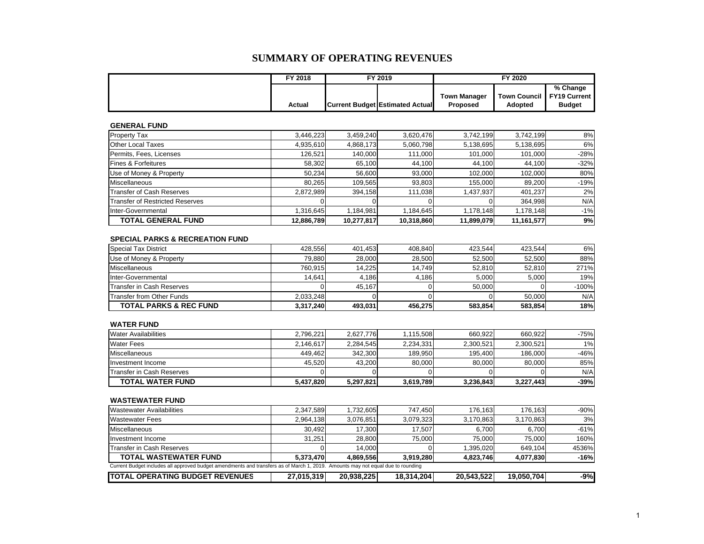### **SUMMARY OF OPERATING REVENUES**

| FY 2018 | FY 2019 |                                        | FY 2020             |                             |               |  |
|---------|---------|----------------------------------------|---------------------|-----------------------------|---------------|--|
|         |         |                                        | <b>Town Manager</b> | Town Council   FY19 Current | % Change      |  |
| Actual  |         | <b>Current Budget Estimated Actual</b> | <b>Proposed</b>     | Adopted                     | <b>Budget</b> |  |

### **GENERAL FUND**

| <b>Property Tax</b>                    | 3,446,223  | 3,459,240  | 3,620,476  | 3,742,199  | 3,742,199  | 8%     |
|----------------------------------------|------------|------------|------------|------------|------------|--------|
| Other Local Taxes                      | 4,935,610  | 4,868,173  | 5,060,798  | 5,138,695  | 5,138,695  | 6%     |
| Permits, Fees, Licenses                | 126.521    | 140.000    | 111.000    | 101,000    | 101,000    | $-28%$ |
| <b>IFines &amp; Forfeitures</b>        | 58,302     | 65,100     | 44.100     | 44,100     | 44,100     | $-32%$ |
| Use of Money & Property                | 50.234     | 56,600     | 93.000     | 102,000    | 102,000    | 80%    |
| <b>Miscellaneous</b>                   | 80,265     | 109,565    | 93,803     | 155,000    | 89,200     | $-19%$ |
| Transfer of Cash Reserves              | 2,872,989  | 394,158    | 111,038    | 1,437,937  | 401,237    | 2%     |
| <b>Transfer of Restricted Reserves</b> |            |            |            |            | 364.998    | N/A    |
| Inter-Governmental                     | 1,316,645  | 1,184,981  | 1.184.645  | 1,178,148  | 1.178.148  | $-1%$  |
| <b>TOTAL GENERAL FUND</b>              | 12,886,789 | 10,277,817 | 10,318,860 | 11,899,079 | 11,161,577 | 9%     |

#### **SPECIAL PARKS & RECREATION FUND**

| Special Tax District              | 428.556   | 401.453 | 408.840 | 423.544 | 423.544 | 6%      |
|-----------------------------------|-----------|---------|---------|---------|---------|---------|
| Use of Money & Property           | 79.880    | 28,000  | 28.500  | 52.500  | 52.500  | 88%     |
| Miscellaneous                     | 760.915   | 14.225  | 14.749  | 52.810  | 52.810  | 271%    |
| Inter-Governmental                | 14.641    | 4.186   | 4.186   | 5.000   | 5.000   | 19%     |
| Transfer in Cash Reserves         |           | 45.167  |         | 50.000  |         | $-100%$ |
| <b>Transfer from Other Funds</b>  | 2.033.248 |         |         |         | 50,000  | N/A     |
| <b>TOTAL PARKS &amp; REC FUND</b> | 3,317,240 | 493.031 | 456.275 | 583.854 | 583.854 | 18%     |

#### **WATER FUND**

| <b>Water Availabilities</b> | 2.796.221 | 2.627.776 | 1.115.508 | 660.922   | 660.922   | -75% |
|-----------------------------|-----------|-----------|-----------|-----------|-----------|------|
| <b>Water Fees</b>           | 2.146.617 | 2.284.545 | 2.234.331 | 2,300,521 | 2.300.521 | 1%   |
| Miscellaneous               | 449.462   | 342.300   | 189.950   | 195.400   | 186.000   | -46% |
| Investment Income           | 45.520    | 43.200    | 80.000    | 80.000    | 80.000    | 85%  |
| Transfer in Cash Reserves   |           |           |           |           |           | N/A  |
| <b>TOTAL WATER FUND</b>     | 5,437,820 | 5,297,821 | 3,619,789 | 3,236,843 | 3,227,443 | -39% |

#### **WASTEWATER FUND**

| Wastewater Availabilities                                                                                                       | 2.347.589  | 1.732.605  | 747.450    | 176.163    | 176.163    | $-90%$ |  |  |  |  |
|---------------------------------------------------------------------------------------------------------------------------------|------------|------------|------------|------------|------------|--------|--|--|--|--|
| <b>Wastewater Fees</b>                                                                                                          | 2.964.138  | 3.076.851  | 3.079.323  | 3,170,863  | 3,170,863  | 3%     |  |  |  |  |
| Miscellaneous                                                                                                                   | 30.492     | 17.300     | 17.507     | 6.700      | 6,700      | $-61%$ |  |  |  |  |
| Investment Income                                                                                                               | 31.251     | 28,800     | 75.000     | 75.000     | 75,000     | 160%   |  |  |  |  |
| Transfer in Cash Reserves                                                                                                       |            | 14.000     |            | 1.395.020  | 649.104    | 4536%  |  |  |  |  |
| <b>TOTAL WASTEWATER FUND</b>                                                                                                    | 5.373.470  | 4.869.556  | 3.919.280  | 4.823.746  | 4.077.830  | $-16%$ |  |  |  |  |
| Current Budget includes all approved budget amendments and transfers as of March 1, 2019. Amounts may not equal due to rounding |            |            |            |            |            |        |  |  |  |  |
| <b>ITOTAL OPERATING BUDGET REVENUES</b>                                                                                         | 27,015,319 | 20,938,225 | 18.314.204 | 20,543,522 | 19,050,704 | -9%l   |  |  |  |  |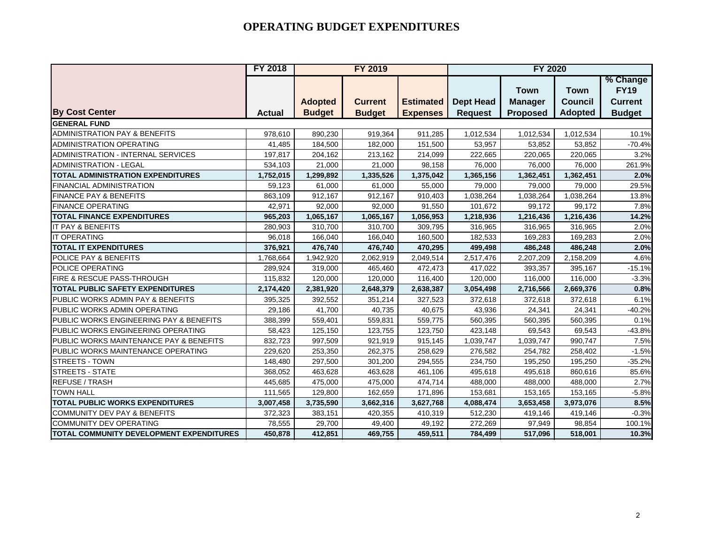|                                          | <b>FY 2018</b> |                | <b>FY 2019</b> |                  | <b>FY 2020</b>   |                               |                               |                                           |
|------------------------------------------|----------------|----------------|----------------|------------------|------------------|-------------------------------|-------------------------------|-------------------------------------------|
|                                          |                | <b>Adopted</b> | <b>Current</b> | <b>Estimated</b> | <b>Dept Head</b> | <b>Town</b><br><b>Manager</b> | <b>Town</b><br><b>Council</b> | % Change<br><b>FY19</b><br><b>Current</b> |
| <b>By Cost Center</b>                    | <b>Actual</b>  | <b>Budget</b>  | <b>Budget</b>  | <b>Expenses</b>  | <b>Request</b>   | <b>Proposed</b>               | <b>Adopted</b>                | <b>Budget</b>                             |
| <b>GENERAL FUND</b>                      |                |                |                |                  |                  |                               |                               |                                           |
| ADMINISTRATION PAY & BENEFITS            | 978,610        | 890,230        | 919,364        | 911,285          | 1,012,534        | 1,012,534                     | 1,012,534                     | 10.1%                                     |
| <b>ADMINISTRATION OPERATING</b>          | 41,485         | 184,500        | 182,000        | 151,500          | 53,957           | 53,852                        | 53,852                        | $-70.4%$                                  |
| ADMINISTRATION - INTERNAL SERVICES       | 197,817        | 204,162        | 213,162        | 214,099          | 222,665          | 220,065                       | 220,065                       | 3.2%                                      |
| <b>ADMINISTRATION - LEGAL</b>            | 534,103        | 21,000         | 21,000         | 98,158           | 76,000           | 76,000                        | 76,000                        | 261.9%                                    |
| <b>TOTAL ADMINISTRATION EXPENDITURES</b> | 1,752,015      | 1,299,892      | 1,335,526      | 1,375,042        | 1,365,156        | 1,362,451                     | 1,362,451                     | 2.0%                                      |
| FINANCIAL ADMINISTRATION                 | 59,123         | 61,000         | 61,000         | 55,000           | 79,000           | 79,000                        | 79,000                        | 29.5%                                     |
| <b>FINANCE PAY &amp; BENEFITS</b>        | 863,109        | 912,167        | 912,167        | 910,403          | 1,038,264        | 1,038,264                     | 1,038,264                     | 13.8%                                     |
| <b>FINANCE OPERATING</b>                 | 42,971         | 92,000         | 92,000         | 91,550           | 101,672          | 99,172                        | 99,172                        | 7.8%                                      |
| <b>TOTAL FINANCE EXPENDITURES</b>        | 965,203        | 1,065,167      | 1,065,167      | 1,056,953        | 1,218,936        | 1,216,436                     | 1,216,436                     | 14.2%                                     |
| IT PAY & BENEFITS                        | 280,903        | 310.700        | 310.700        | 309.795          | 316,965          | 316,965                       | 316,965                       | 2.0%                                      |
| <b>IT OPERATING</b>                      | 96,018         | 166,040        | 166,040        | 160,500          | 182,533          | 169,283                       | 169,283                       | 2.0%                                      |
| <b>TOTAL IT EXPENDITURES</b>             | 376,921        | 476,740        | 476,740        | 470,295          | 499,498          | 486,248                       | 486,248                       | 2.0%                                      |
| POLICE PAY & BENEFITS                    | 1,768,664      | 1,942,920      | 2,062,919      | 2,049,514        | 2,517,476        | 2,207,209                     | 2,158,209                     | 4.6%                                      |
| POLICE OPERATING                         | 289,924        | 319,000        | 465,460        | 472,473          | 417,022          | 393,357                       | 395,167                       | $-15.1%$                                  |
| FIRE & RESCUE PASS-THROUGH               | 115,832        | 120,000        | 120,000        | 116,400          | 120,000          | 116,000                       | 116,000                       | $-3.3%$                                   |
| <b>TOTAL PUBLIC SAFETY EXPENDITURES</b>  | 2,174,420      | 2,381,920      | 2,648,379      | 2,638,387        | 3,054,498        | 2,716,566                     | 2,669,376                     | 0.8%                                      |
| PUBLIC WORKS ADMIN PAY & BENEFITS        | 395,325        | 392,552        | 351,214        | 327,523          | 372,618          | 372,618                       | 372,618                       | 6.1%                                      |
| PUBLIC WORKS ADMIN OPERATING             | 29,186         | 41,700         | 40,735         | 40,675           | 43,936           | 24,341                        | 24,341                        | $-40.2%$                                  |
| PUBLIC WORKS ENGINEERING PAY & BENEFITS  | 388,399        | 559,401        | 559,831        | 559,775          | 560,395          | 560,395                       | 560,395                       | 0.1%                                      |
| PUBLIC WORKS ENGINEERING OPERATING       | 58,423         | 125,150        | 123,755        | 123,750          | 423,148          | 69,543                        | 69,543                        | $-43.8%$                                  |
| PUBLIC WORKS MAINTENANCE PAY & BENEFITS  | 832,723        | 997,509        | 921,919        | 915,145          | 1,039,747        | 1,039,747                     | 990,747                       | 7.5%                                      |
| PUBLIC WORKS MAINTENANCE OPERATING       | 229,620        | 253,350        | 262,375        | 258,629          | 276,582          | 254,782                       | 258,402                       | $-1.5%$                                   |
| STREETS - TOWN                           | 148,480        | 297,500        | 301,200        | 294,555          | 234,750          | 195,250                       | 195,250                       | $-35.2%$                                  |
| STREETS - STATE                          | 368,052        | 463,628        | 463,628        | 461,106          | 495,618          | 495,618                       | 860,616                       | 85.6%                                     |
| <b>REFUSE / TRASH</b>                    | 445,685        | 475,000        | 475,000        | 474,714          | 488,000          | 488,000                       | 488,000                       | 2.7%                                      |
| <b>TOWN HALL</b>                         | 111,565        | 129,800        | 162,659        | 171,896          | 153,681          | 153,165                       | 153,165                       | $-5.8%$                                   |
| <b>TOTAL PUBLIC WORKS EXPENDITURES</b>   | 3,007,458      | 3,735,590      | 3,662,316      | 3,627,768        | 4,088,474        | 3,653,458                     | 3,973,076                     | 8.5%                                      |
| <b>COMMUNITY DEV PAY &amp; BENEFITS</b>  | 372,323        | 383,151        | 420,355        | 410,319          | 512,230          | 419,146                       | 419,146                       | $-0.3%$                                   |
| <b>COMMUNITY DEV OPERATING</b>           | 78,555         | 29,700         | 49,400         | 49,192           | 272,269          | 97,949                        | 98,854                        | 100.1%                                    |
| TOTAL COMMUNITY DEVELOPMENT EXPENDITURES | 450,878        | 412,851        | 469,755        | 459,511          | 784,499          | 517,096                       | 518,001                       | 10.3%                                     |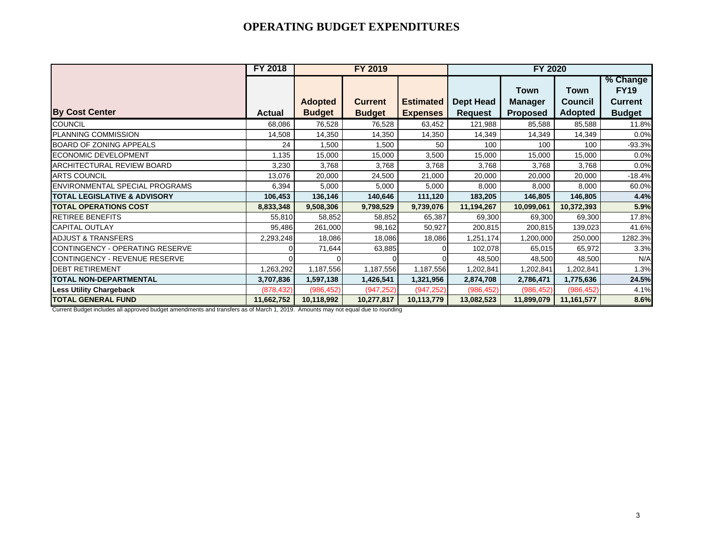|                                         | <b>FY 2018</b> |                                 | <b>FY 2019</b>                  |                                     | <b>FY 2020</b>                     |                                           |                                                 |                                                            |
|-----------------------------------------|----------------|---------------------------------|---------------------------------|-------------------------------------|------------------------------------|-------------------------------------------|-------------------------------------------------|------------------------------------------------------------|
| <b>By Cost Center</b>                   | <b>Actual</b>  | <b>Adopted</b><br><b>Budget</b> | <b>Current</b><br><b>Budget</b> | <b>Estimated</b><br><b>Expenses</b> | <b>Dept Head</b><br><b>Request</b> | Town<br><b>Manager</b><br><b>Proposed</b> | <b>Town</b><br><b>Council</b><br><b>Adopted</b> | % Change<br><b>FY19</b><br><b>Current</b><br><b>Budget</b> |
| COUNCIL                                 | 68,086         | 76,528                          | 76,528                          | 63,452                              | 121,988                            | 85,588                                    | 85,588                                          | 11.8%                                                      |
| PLANNING COMMISSION                     | 14,508         | 14,350                          | 14,350                          | 14,350                              | 14,349                             | 14,349                                    | 14,349                                          | 0.0%                                                       |
| BOARD OF ZONING APPEALS                 | 24             | 1,500                           | 1,500                           | 50                                  | 100                                | 100                                       | 100                                             | $-93.3%$                                                   |
| <b>ECONOMIC DEVELOPMENT</b>             | 1,135          | 15,000                          | 15,000                          | 3,500                               | 15,000                             | 15,000                                    | 15,000                                          | 0.0%                                                       |
| ARCHITECTURAL REVIEW BOARD              | 3,230          | 3,768                           | 3,768                           | 3,768                               | 3,768                              | 3,768                                     | 3,768                                           | 0.0%                                                       |
| <b>ARTS COUNCIL</b>                     | 13,076         | 20,000                          | 24,500                          | 21,000                              | 20,000                             | 20,000                                    | 20,000                                          | $-18.4%$                                                   |
| ENVIRONMENTAL SPECIAL PROGRAMS          | 6,394          | 5,000                           | 5,000                           | 5,000                               | 8,000                              | 8,000                                     | 8,000                                           | 60.0%                                                      |
| <b>TOTAL LEGISLATIVE &amp; ADVISORY</b> | 106,453        | 136,146                         | 140,646                         | 111,120                             | 183,205                            | 146,805                                   | 146,805                                         | 4.4%                                                       |
| <b>TOTAL OPERATIONS COST</b>            | 8,833,348      | 9,508,306                       | 9,798,529                       | 9,739,076                           | 11,194,267                         | 10,099,061                                | 10,372,393                                      | 5.9%                                                       |
| RETIREE BENEFITS                        | 55,810         | 58,852                          | 58,852                          | 65,387                              | 69,300                             | 69,300                                    | 69,300                                          | 17.8%                                                      |
| CAPITAL OUTLAY                          | 95,486         | 261,000                         | 98,162                          | 50,927                              | 200,815                            | 200,815                                   | 139,023                                         | 41.6%                                                      |
| <b>ADJUST &amp; TRANSFERS</b>           | 2,293,248      | 18,086                          | 18,086                          | 18,086                              | 1,251,174                          | 200,000,                                  | 250,000                                         | 1282.3%                                                    |
| CONTINGENCY - OPERATING RESERVE         |                | 71,644                          | 63,885                          |                                     | 102,078                            | 65,015                                    | 65,972                                          | 3.3%                                                       |
| CONTINGENCY - REVENUE RESERVE           |                |                                 | O                               |                                     | 48,500                             | 48,500                                    | 48,500                                          | N/A                                                        |
| <b>DEBT RETIREMENT</b>                  | 1,263,292      | 1,187,556                       | 1,187,556                       | 1,187,556                           | 1,202,841                          | ,202,841                                  | 1,202,841                                       | 1.3%                                                       |
| <b>TOTAL NON-DEPARTMENTAL</b>           | 3,707,836      | 1,597,138                       | 1,426,541                       | 1,321,956                           | 2,874,708                          | 2,786,471                                 | 1,775,636                                       | 24.5%                                                      |
| <b>Less Utility Chargeback</b>          | (878, 432)     | (986, 452)                      | (947, 252)                      | (947, 252)                          | (986, 452)                         | (986, 452)                                | (986, 452)                                      | 4.1%                                                       |
| <b>TOTAL GENERAL FUND</b>               | 11,662,752     | 10,118,992                      | 10,277,817                      | 10,113,779                          | 13,082,523                         | 11,899,079                                | 11,161,577                                      | 8.6%                                                       |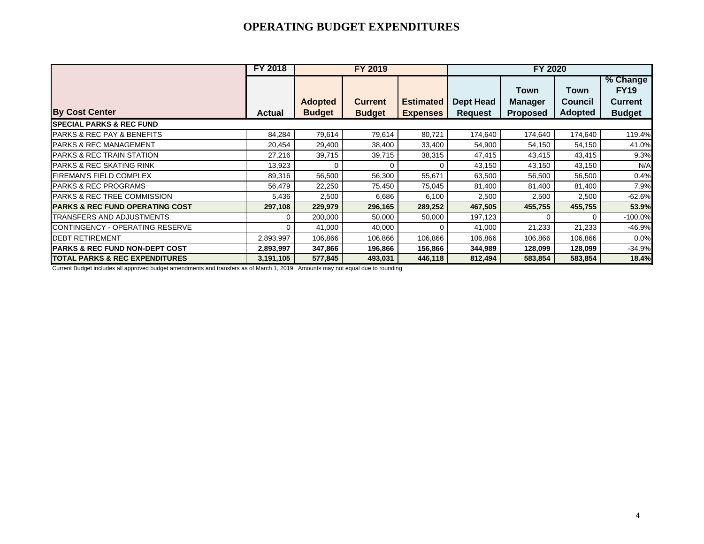|                                             | <b>FY 2018</b> | FY 2019        |                |                  |                | FY 2020         |          |                |
|---------------------------------------------|----------------|----------------|----------------|------------------|----------------|-----------------|----------|----------------|
|                                             |                |                |                |                  |                |                 |          | % Change       |
|                                             |                |                |                |                  |                | Town            | Town     | <b>FY19</b>    |
|                                             |                | <b>Adopted</b> | <b>Current</b> | <b>Estimated</b> | Dept Head      | <b>Manager</b>  | Council  | <b>Current</b> |
| <b>By Cost Center</b>                       | <b>Actual</b>  | <b>Budget</b>  | <b>Budget</b>  | <b>Expenses</b>  | <b>Request</b> | <b>Proposed</b> | Adopted  | <b>Budget</b>  |
| <b>ISPECIAL PARKS &amp; REC FUND</b>        |                |                |                |                  |                |                 |          |                |
| <b>PARKS &amp; REC PAY &amp; BENEFITS</b>   | 84,284         | 79,614         | 79,614         | 80,721           | 174,640        | 174,640         | 174,640  | 119.4%         |
| <b>PARKS &amp; REC MANAGEMENT</b>           | 20,454         | 29,400         | 38,400         | 33,400           | 54,900         | 54,150          | 54,150   | 41.0%          |
| <b>PARKS &amp; REC TRAIN STATION</b>        | 27,216         | 39,715         | 39,715         | 38,315           | 47,415         | 43,415          | 43,415   | 9.3%           |
| <b>PARKS &amp; REC SKATING RINK</b>         | 13,923         | 0              | 0              | 0                | 43,150         | 43,150          | 43,150   | N/A            |
| <b>FIREMAN'S FIELD COMPLEX</b>              | 89,316         | 56,500         | 56,300         | 55,671           | 63,500         | 56,500          | 56,500   | 0.4%           |
| <b>IPARKS &amp; REC PROGRAMS</b>            | 56,479         | 22,250         | 75,450         | 75,045           | 81,400         | 81,400          | 81,400   | 7.9%           |
| <b>PARKS &amp; REC TREE COMMISSION</b>      | 5,436          | 2,500          | 6,686          | 6,100            | 2,500          | 2,500           | 2,500    | $-62.6%$       |
| <b>IPARKS &amp; REC FUND OPERATING COST</b> | 297,108        | 229,979        | 296,165        | 289,252          | 467,505        | 455,755         | 455,755  | 53.9%          |
| TRANSFERS AND ADJUSTMENTS                   | ∩              | 200,000        | 50,000         | 50,000           | 197,123        | 0               | $\Omega$ | $-100.0%$      |
| CONTINGENCY - OPERATING RESERVE             | 0              | 41,000         | 40,000         | 0                | 41,000         | 21,233          | 21,233   | $-46.9%$       |
| <b>DEBT RETIREMENT</b>                      | 2,893,997      | 106,866        | 106,866        | 106,866          | 106,866        | 106,866         | 106,866  | 0.0%           |
| <b>IPARKS &amp; REC FUND NON-DEPT COST</b>  | 2,893,997      | 347,866        | 196,866        | 156,866          | 344,989        | 128,099         | 128,099  | $-34.9%$       |
| <b>TOTAL PARKS &amp; REC EXPENDITURES</b>   | 3,191,105      | 577,845        | 493,031        | 446,118          | 812,494        | 583,854         | 583,854  | 18.4%          |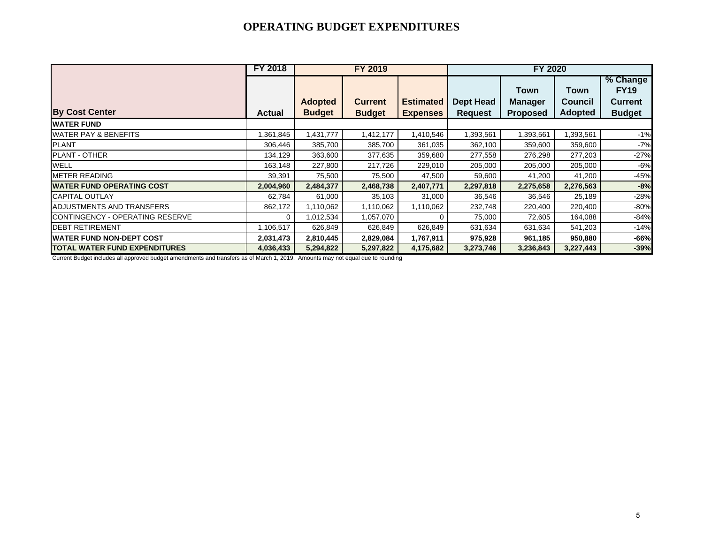|                                  | <b>FY 2018</b> | FY 2019        |                |                 | FY 2020          |                 |                |                |
|----------------------------------|----------------|----------------|----------------|-----------------|------------------|-----------------|----------------|----------------|
|                                  |                |                |                |                 |                  |                 |                | % Change       |
|                                  |                |                |                |                 |                  | Town            | Town           | <b>FY19</b>    |
|                                  |                | <b>Adopted</b> | <b>Current</b> | Estimated       | <b>Dept Head</b> | <b>Manager</b>  | <b>Council</b> | <b>Current</b> |
| <b>By Cost Center</b>            | <b>Actual</b>  | <b>Budget</b>  | <b>Budget</b>  | <b>Expenses</b> | <b>Request</b>   | <b>Proposed</b> | <b>Adopted</b> | <b>Budget</b>  |
| <b>WATER FUND</b>                |                |                |                |                 |                  |                 |                |                |
| <b>WATER PAY &amp; BENEFITS</b>  | ,361,845       | 1,431,777      | 1,412,177      | 1,410,546       | 1,393,561        | 1,393,561       | 1,393,561      | $-1%$          |
| <b>PLANT</b>                     | 306,446        | 385,700        | 385,700        | 361,035         | 362,100          | 359,600         | 359,600        | $-7%$          |
| PLANT - OTHER                    | 134,129        | 363,600        | 377,635        | 359,680         | 277,558          | 276,298         | 277,203        | $-27%$         |
| <b>WELL</b>                      | 163,148        | 227,800        | 217,726        | 229,010         | 205,000          | 205,000         | 205,000        | $-6%$          |
| <b>METER READING</b>             | 39,391         | 75,500         | 75,500         | 47,500          | 59,600           | 41,200          | 41,200         | $-45%$         |
| <b>WATER FUND OPERATING COST</b> | 2,004,960      | 2,484,377      | 2,468,738      | 2,407,771       | 2,297,818        | 2,275,658       | 2,276,563      | $-8%$          |
| <b>CAPITAL OUTLAY</b>            | 62,784         | 61,000         | 35,103         | 31,000          | 36,546           | 36,546          | 25,189         | $-28%$         |
| ADJUSTMENTS AND TRANSFERS        | 862,172        | 1,110,062      | 1,110,062      | 1,110,062       | 232,748          | 220,400         | 220,400        | $-80%$         |
| CONTINGENCY - OPERATING RESERVE  | $\Omega$       | 1,012,534      | 1,057,070      | 0               | 75,000           | 72,605          | 164,088        | $-84%$         |
| <b>DEBT RETIREMENT</b>           | 1,106,517      | 626,849        | 626,849        | 626,849         | 631,634          | 631,634         | 541,203        | $-14%$         |
| <b>WATER FUND NON-DEPT COST</b>  | 2,031,473      | 2,810,445      | 2,829,084      | 1,767,911       | 975,928          | 961,185         | 950,880        | -66%           |
| TOTAL WATER FUND EXPENDITURES    | 4,036,433      | 5,294,822      | 5,297,822      | 4,175,682       | 3,273,746        | 3,236,843       | 3,227,443      | $-39%$         |